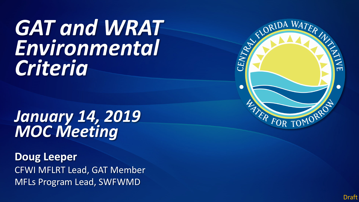# *GAT and WRAT Environmental Criteria*

# *January 14, 2019 MOC Meeting*

**Doug Leeper** CFWI MFLRT Lead, GAT Member MFLs Program Lead, SWFWMD



Draft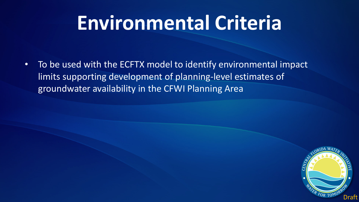# **Environmental Criteria**

• To be used with the ECFTX model to identify environmental impact limits supporting development of planning-level estimates of groundwater availability in the CFWI Planning Area

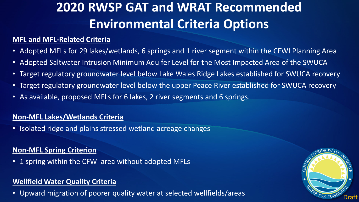## **2020 RWSP GAT and WRAT Recommended Environmental Criteria Options**

## **MFL and MFL-Related Criteria**

- Adopted MFLs for 29 lakes/wetlands, 6 springs and 1 river segment within the CFWI Planning Area
- Adopted Saltwater Intrusion Minimum Aquifer Level for the Most Impacted Area of the SWUCA
- Target regulatory groundwater level below Lake Wales Ridge Lakes established for SWUCA recovery
- Target regulatory groundwater level below the upper Peace River established for SWUCA recovery
- As available, proposed MFLs for 6 lakes, 2 river segments and 6 springs.

### **Non-MFL Lakes/Wetlands Criteria**

• Isolated ridge and plains stressed wetland acreage changes

### **Non-MFL Spring Criterion**

• 1 spring within the CFWI area without adopted MFLs

### **Wellfield Water Quality Criteria**

• Upward migration of poorer quality water at selected wellfields/areas  $\frac{W_{\ell R_{FOR}}}{\text{D}(\text{D}(\text{D}))}$ 

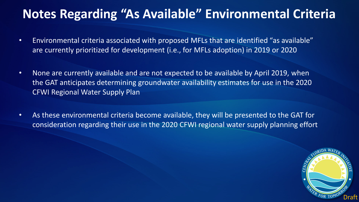## **Notes Regarding "As Available" Environmental Criteria**

- Environmental criteria associated with proposed MFLs that are identified "as available" are currently prioritized for development (i.e., for MFLs adoption) in 2019 or 2020
- None are currently available and are not expected to be available by April 2019, when the GAT anticipates determining groundwater availability estimates for use in the 2020 CFWI Regional Water Supply Plan
- As these environmental criteria become available, they will be presented to the GAT for consideration regarding their use in the 2020 CFWI regional water supply planning effort

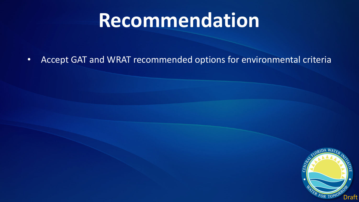# **Recommendation**

• Accept GAT and WRAT recommended options for environmental criteria

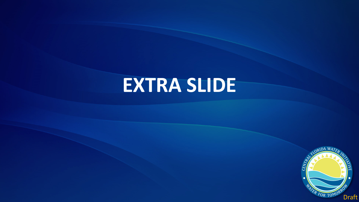# **EXTRA SLIDE**